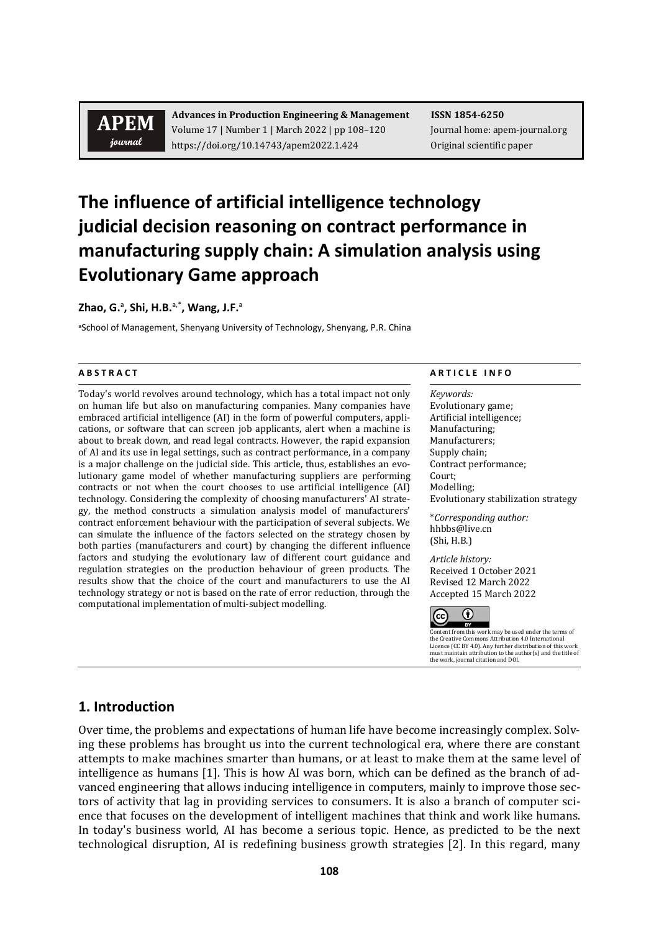# **APEM** journal

**Advances in Production Engineering & Management ISSN 1854-6250** Volume 17 | Number 1 | March 2022 | pp 108–120 Journal home: apem-journal.org https://doi.org/10.14743/apem2022.1.424 Original scientific paper

# **The influence of artificial intelligence technology judicial decision reasoning on contract performance in manufacturing supply chain: A simulation analysis using Evolutionary Game approach**

**Zhao, G.**<sup>a</sup> **, Shi, H.B.** a,\***, Wang, J.F.**<sup>a</sup>

aSchool of Management, Shenyang University of Technology, Shenyang, P.R. China

Today's world revolves around technology, which has a total impact not only on human life but also on manufacturing companies. Many companies have embraced artificial intelligence (AI) in the form of powerful computers, applications, or software that can screen job applicants, alert when a machine is about to break down, and read legal contracts. However, the rapid expansion of AI and its use in legal settings, such as contract performance, in a company is a major challenge on the judicial side. This article, thus, establishes an evolutionary game model of whether manufacturing suppliers are performing contracts or not when the court chooses to use artificial intelligence (AI) technology. Considering the complexity of choosing manufacturers' AI strategy, the method constructs a simulation analysis model of manufacturers' contract enforcement behaviour with the participation of several subjects. We can simulate the influence of the factors selected on the strategy chosen by both parties (manufacturers and court) by changing the different influence factors and studying the evolutionary law of different court guidance and regulation strategies on the production behaviour of green products. The results show that the choice of the court and manufacturers to use the AI technology strategy or not is based on the rate of error reduction, through the computational implementation of multi-subject modelling.

#### **A B S T R A C T A R T I C L E I N F O**

*Keywords:* Evolutionary game; Artificial intelligence; Manufacturing; Manufacturers; Supply chain; Contract performance; Court; Modelling; Evolutionary stabilization strategy

\**Corresponding author:*  hhbbs@live.cn (Shi, H.B.)

*Article history:* Received 1 October 2021 Revised 12 March 2022 Accepted 15 March 2022



Content from this work may be used under the terms of<br>the Creative Commons Attribution 4.0 International the Creative Commons Attribution 4.0 International Licence (CC BY 4.0). Any further distribution of this work must maintain attribution to the author(s) and the title of the work, journal citation and DOI.

#### **1. Introduction**

Over time, the problems and expectations of human life have become increasingly complex. Solving these problems has brought us into the current technological era, where there are constant attempts to make machines smarter than humans, or at least to make them at the same level of intelligence as humans [1]. This is how AI was born, which can be defined as the branch of advanced engineering that allows inducing intelligence in computers, mainly to improve those sectors of activity that lag in providing services to consumers. It is also a branch of computer science that focuses on the development of intelligent machines that think and work like humans. In today's business world, AI has become a serious topic. Hence, as predicted to be the next technological disruption, AI is redefining business growth strategies [2]. In this regard, many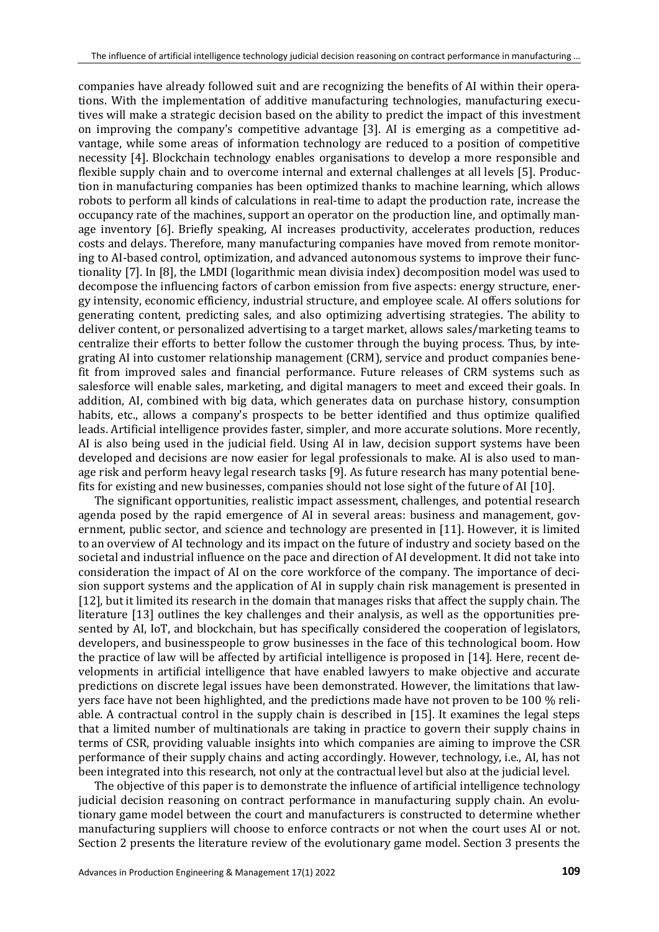companies have already followed suit and are recognizing the benefits of AI within their operations. With the implementation of additive manufacturing technologies, manufacturing executives will make a strategic decision based on the ability to predict the impact of this investment on improving the company's competitive advantage [3]. AI is emerging as a competitive advantage, while some areas of information technology are reduced to a position of competitive necessity [4]. Blockchain technology enables organisations to develop a more responsible and flexible supply chain and to overcome internal and external challenges at all levels [5]. Production in manufacturing companies has been optimized thanks to machine learning, which allows robots to perform all kinds of calculations in real-time to adapt the production rate, increase the occupancy rate of the machines, support an operator on the production line, and optimally manage inventory [6]. Briefly speaking, AI increases productivity, accelerates production, reduces costs and delays. Therefore, many manufacturing companies have moved from remote monitoring to AI-based control, optimization, and advanced autonomous systems to improve their functionality [7]. In [8], the LMDI (logarithmic mean divisia index) decomposition model was used to decompose the influencing factors of carbon emission from five aspects: energy structure, energy intensity, economic efficiency, industrial structure, and employee scale. AI offers solutions for generating content, predicting sales, and also optimizing advertising strategies. The ability to deliver content, or personalized advertising to a target market, allows sales/marketing teams to centralize their efforts to better follow the customer through the buying process. Thus, by integrating AI into customer relationship management (CRM), service and product companies benefit from improved sales and financial performance. Future releases of CRM systems such as salesforce will enable sales, marketing, and digital managers to meet and exceed their goals. In addition, AI, combined with big data, which generates data on purchase history, consumption habits, etc., allows a company's prospects to be better identified and thus optimize qualified leads. Artificial intelligence provides faster, simpler, and more accurate solutions. More recently, AI is also being used in the judicial field. Using AI in law, decision support systems have been developed and decisions are now easier for legal professionals to make. AI is also used to manage risk and perform heavy legal research tasks [9]. As future research has many potential benefits for existing and new businesses, companies should not lose sight of the future of AI [10].

The significant opportunities, realistic impact assessment, challenges, and potential research agenda posed by the rapid emergence of AI in several areas: business and management, government, public sector, and science and technology are presented in [11]. However, it is limited to an overview of AI technology and its impact on the future of industry and society based on the societal and industrial influence on the pace and direction of AI development. It did not take into consideration the impact of AI on the core workforce of the company. The importance of decision support systems and the application of AI in supply chain risk management is presented in [12], but it limited its research in the domain that manages risks that affect the supply chain. The literature [13] outlines the key challenges and their analysis, as well as the opportunities presented by AI, IoT, and blockchain, but has specifically considered the cooperation of legislators, developers, and businesspeople to grow businesses in the face of this technological boom. How the practice of law will be affected by artificial intelligence is proposed in [14]. Here, recent developments in artificial intelligence that have enabled lawyers to make objective and accurate predictions on discrete legal issues have been demonstrated. However, the limitations that lawyers face have not been highlighted, and the predictions made have not proven to be 100 % reliable. A contractual control in the supply chain is described in [15]. It examines the legal steps that a limited number of multinationals are taking in practice to govern their supply chains in terms of CSR, providing valuable insights into which companies are aiming to improve the CSR performance of their supply chains and acting accordingly. However, technology, i.e., AI, has not been integrated into this research, not only at the contractual level but also at the judicial level.

The objective of this paper is to demonstrate the influence of artificial intelligence technology judicial decision reasoning on contract performance in manufacturing supply chain. An evolutionary game model between the court and manufacturers is constructed to determine whether manufacturing suppliers will choose to enforce contracts or not when the court uses AI or not. Section 2 presents the literature review of the evolutionary game model. Section 3 presents the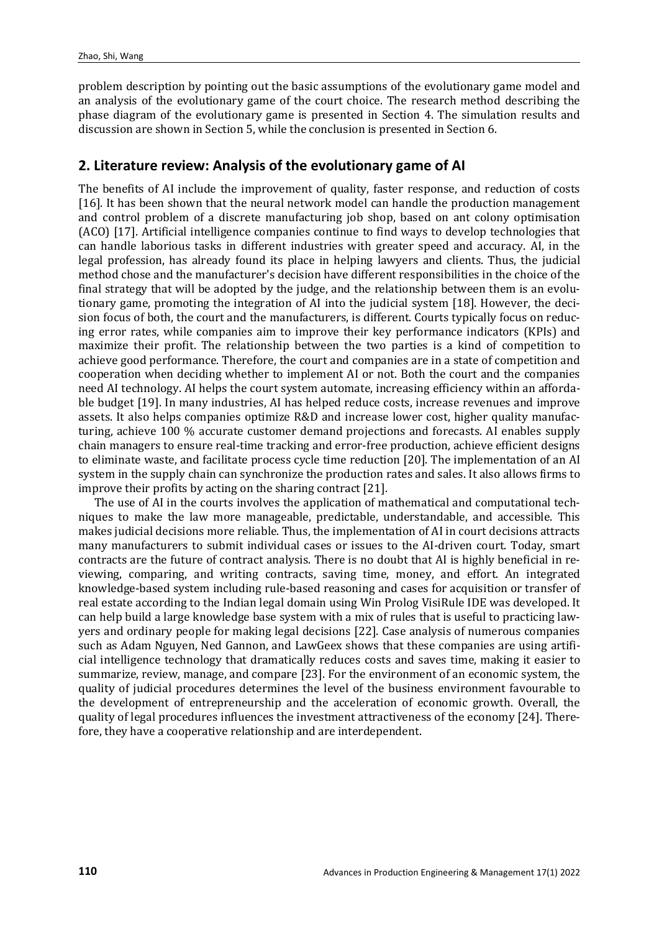problem description by pointing out the basic assumptions of the evolutionary game model and an analysis of the evolutionary game of the court choice. The research method describing the phase diagram of the evolutionary game is presented in Section 4. The simulation results and discussion are shown in Section 5, while the conclusion is presented in Section 6.

### **2. Literature review: Analysis of the evolutionary game of AI**

The benefits of AI include the improvement of quality, faster response, and reduction of costs [16]. It has been shown that the neural network model can handle the production management and control problem of a discrete manufacturing job shop, based on ant colony optimisation (ACO) [17]. Artificial intelligence companies continue to find ways to develop technologies that can handle laborious tasks in different industries with greater speed and accuracy. AI, in the legal profession, has already found its place in helping lawyers and clients. Thus, the judicial method chose and the manufacturer's decision have different responsibilities in the choice of the final strategy that will be adopted by the judge, and the relationship between them is an evolutionary game, promoting the integration of AI into the judicial system [18]. However, the decision focus of both, the court and the manufacturers, is different. Courts typically focus on reducing error rates, while companies aim to improve their key performance indicators (KPIs) and maximize their profit. The relationship between the two parties is a kind of competition to achieve good performance. Therefore, the court and companies are in a state of competition and cooperation when deciding whether to implement AI or not. Both the court and the companies need AI technology. AI helps the court system automate, increasing efficiency within an affordable budget [19]. In many industries, AI has helped reduce costs, increase revenues and improve assets. It also helps companies optimize R&D and increase lower cost, higher quality manufacturing, achieve 100 % accurate customer demand projections and forecasts. AI enables supply chain managers to ensure real-time tracking and error-free production, achieve efficient designs to eliminate waste, and facilitate process cycle time reduction [20]. The implementation of an AI system in the supply chain can synchronize the production rates and sales. It also allows firms to improve their profits by acting on the sharing contract [21].

The use of AI in the courts involves the application of mathematical and computational techniques to make the law more manageable, predictable, understandable, and accessible. This makes judicial decisions more reliable. Thus, the implementation of AI in court decisions attracts many manufacturers to submit individual cases or issues to the AI-driven court. Today, smart contracts are the future of contract analysis. There is no doubt that AI is highly beneficial in reviewing, comparing, and writing contracts, saving time, money, and effort. An integrated knowledge-based system including rule-based reasoning and cases for acquisition or transfer of real estate according to the Indian legal domain using Win Prolog VisiRule IDE was developed. It can help build a large knowledge base system with a mix of rules that is useful to practicing lawyers and ordinary people for making legal decisions [22]. Case analysis of numerous companies such as Adam Nguyen, Ned Gannon, and LawGeex shows that these companies are using artificial intelligence technology that dramatically reduces costs and saves time, making it easier to summarize, review, manage, and compare [23]. For the environment of an economic system, the quality of judicial procedures determines the level of the business environment favourable to the development of entrepreneurship and the acceleration of economic growth. Overall, the quality of legal procedures influences the investment attractiveness of the economy [24]. Therefore, they have a cooperative relationship and are interdependent.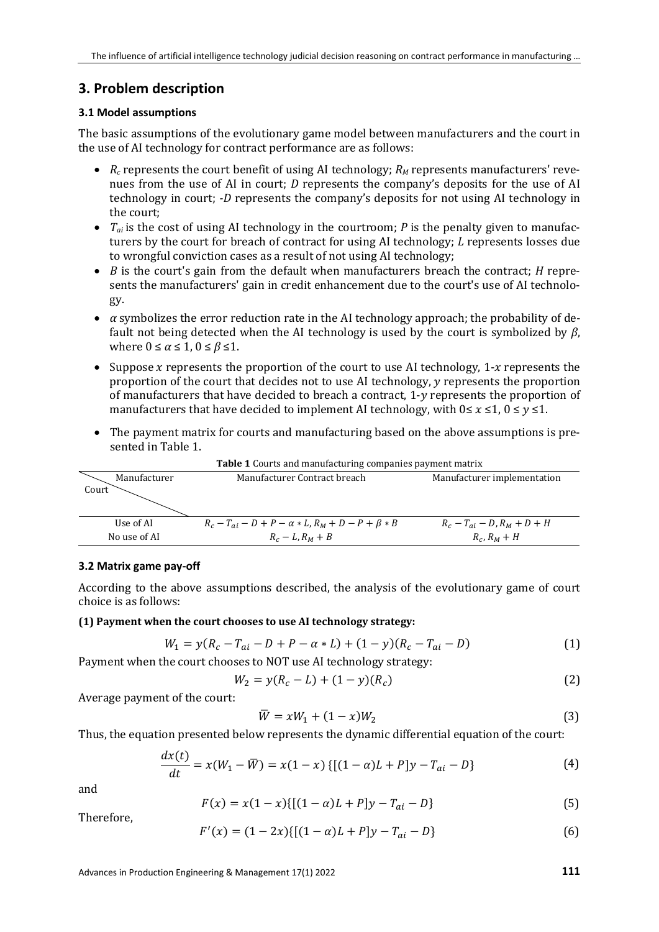## **3. Problem description**

#### **3.1 Model assumptions**

The basic assumptions of the evolutionary game model between manufacturers and the court in the use of AI technology for contract performance are as follows:

- *R<sub>c</sub>* represents the court benefit of using AI technology; *R<sub>M</sub>* represents manufacturers' revenues from the use of AI in court; *D* represents the company's deposits for the use of AI technology in court; *-D* represents the company's deposits for not using AI technology in the court;
- *Tai* is the cost of using AI technology in the courtroom; *P* is the penalty given to manufacturers by the court for breach of contract for using AI technology; *L* represents losses due to wrongful conviction cases as a result of not using AI technology;
- *B* is the court's gain from the default when manufacturers breach the contract; *H* represents the manufacturers' gain in credit enhancement due to the court's use of AI technology.
- *α* symbolizes the error reduction rate in the AI technology approach; the probability of default not being detected when the AI technology is used by the court is symbolized by *β*, where  $0 \le \alpha \le 1$ ,  $0 \le \beta \le 1$ .
- Suppose x represents the proportion of the court to use AI technology,  $1-x$  represents the proportion of the court that decides not to use AI technology, y represents the proportion of manufacturers that have decided to breach a contract,  $1-v$  represents the proportion of manufacturers that have decided to implement AI technology, with  $0 \le x \le 1$ ,  $0 \le y \le 1$ .
- The payment matrix for courts and manufacturing based on the above assumptions is presented in Table 1.

| <b>Table 1</b> Courts and manufacturing companies payment matrix |                                                                 |                                    |  |
|------------------------------------------------------------------|-----------------------------------------------------------------|------------------------------------|--|
| Manufacturer                                                     | Manufacturer Contract breach                                    | Manufacturer implementation        |  |
| Court                                                            |                                                                 |                                    |  |
|                                                                  |                                                                 |                                    |  |
|                                                                  |                                                                 |                                    |  |
| Use of AI                                                        | $R_c - T_{ai} - D + P - \alpha * L$ , $R_M + D - P + \beta * B$ | $R_c - T_{ai} - D$ , $R_M + D + H$ |  |
| No use of AI                                                     | $R_c - L$ , $R_M + B$                                           | $R_c$ , $R_M + H$                  |  |

**Table 1** Courts and manufacturing companies payment matrix

#### **3.2 Matrix game pay-off**

According to the above assumptions described, the analysis of the evolutionary game of court choice is as follows:

#### **(1) Payment when the court chooses to use AI technology strategy:**

$$
W_1 = y(R_c - T_{ai} - D + P - \alpha * L) + (1 - y)(R_c - T_{ai} - D)
$$
\n(1)

Payment when the court chooses to NOT use AI technology strategy:

$$
W_2 = y(R_c - L) + (1 - y)(R_c)
$$
 (2)

Average payment of the court:

$$
\overline{W} = xW_1 + (1 - x)W_2 \tag{3}
$$

Thus, the equation presented below represents the dynamic differential equation of the court:

$$
\frac{dx(t)}{dt} = x(W_1 - \overline{W}) = x(1 - x) \{[(1 - \alpha)L + P]y - T_{ai} - D\}
$$
(4)

and

$$
F(x) = x(1-x)\{[(1-\alpha)L + P]y - T_{ai} - D\}
$$
\n(5)

Therefore,

$$
F'(x) = (1 - 2x)\{[(1 - \alpha)L + P]y - T_{ai} - D\}
$$
 (6)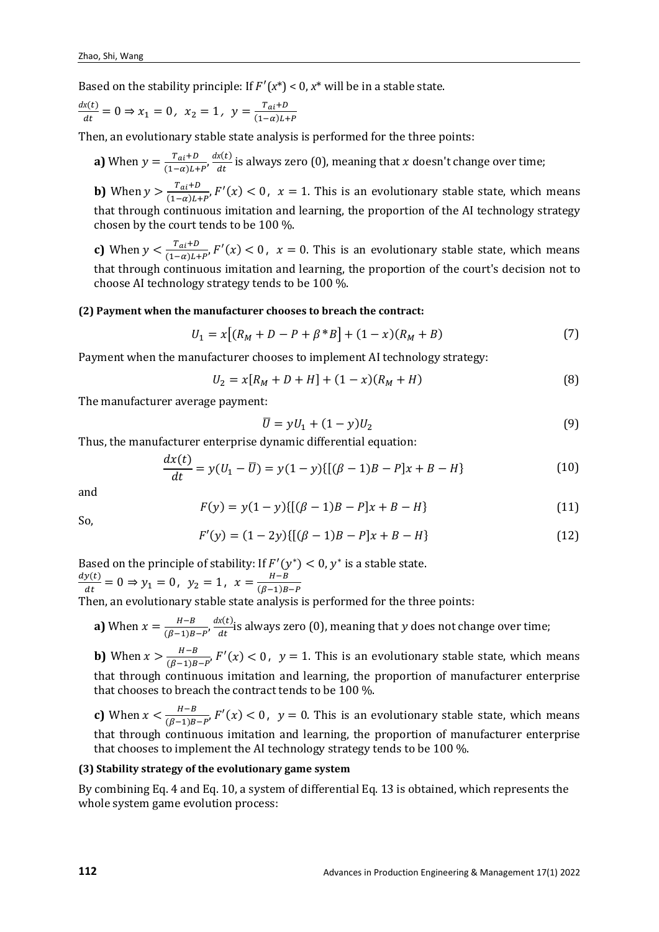Based on the stability principle: If  $F'(x^*) < 0$ ,  $x^*$  will be in a stable state.

$$
\frac{dx(t)}{dt} = 0 \Rightarrow x_1 = 0, \ x_2 = 1, \ y = \frac{T_{ai} + D}{(1 - \alpha)L + P}
$$

Then, an evolutionary stable state analysis is performed for the three points:

**a)** When  $y = \frac{T_{ai}+D}{(1-\alpha)L+P'}\frac{dx(t)}{dt}$  is always zero (0), meaning that *x* doesn't change over time;

**b)** When  $y > \frac{T_{ai}+B}{(1-\alpha)L+P}$ ,  $F'(x) < 0$ ,  $x = 1$ . This is an evolutionary stable state, which means that through continuous imitation and learning, the proportion of the AI technology strategy chosen by the court tends to be 100 %.

**c)** When  $y < \frac{T_{ai}+D}{(1-\alpha)L+P}$ ,  $F'(x) < 0$ ,  $x = 0$ . This is an evolutionary stable state, which means that through continuous imitation and learning, the proportion of the court's decision not to choose AI technology strategy tends to be 100 %.

#### **(2) Payment when the manufacturer chooses to breach the contract:**

$$
U_1 = x[(R_M + D - P + \beta * B] + (1 - x)(R_M + B)
$$
\n(7)

Payment when the manufacturer chooses to implement AI technology strategy:

$$
U_2 = x[R_M + D + H] + (1 - x)(R_M + H)
$$
\n(8)

The manufacturer average payment:

$$
\bar{U} = yU_1 + (1 - y)U_2 \tag{9}
$$

Thus, the manufacturer enterprise dynamic differential equation:

$$
\frac{dx(t)}{dt} = y(U_1 - \overline{U}) = y(1 - y)[[(\beta - 1)B - P]x + B - H]
$$
\n(10)

and

$$
F(y) = y(1 - y)\{[(\beta - 1)B - P]x + B - H\}
$$
\n(11)

So,

$$
F'(y) = (1 - 2y)\{[(\beta - 1)B - P]x + B - H\}
$$
\n(12)

Based on the principle of stability: If  $F'(y^*) < 0$ ,  $y^*$  is a stable state.  $\frac{dy(t)}{dt} = 0 \Rightarrow y_1 = 0, \ y_2 = 1, \ x = \frac{H-B}{(\beta-1)B-P}$ 

Then, an evolutionary stable state analysis is performed for the three points:

**a)** When  $x = \frac{H-B}{(\beta-1)B-P'}\frac{dx(t)}{dt}$  is always zero (0), meaning that y does not change over time;

**b)** When  $x > \frac{H-B}{(\beta-1)B-P}$ ,  $F'(x) < 0$ ,  $y = 1$ . This is an evolutionary stable state, which means that through continuous imitation and learning, the proportion of manufacturer enterprise that chooses to breach the contract tends to be 100 %.

**c)** When  $x < \frac{H-B}{(\beta-1)B-P}$ ,  $F'(x) < 0$ ,  $y = 0$ . This is an evolutionary stable state, which means that through continuous imitation and learning, the proportion of manufacturer enterprise that chooses to implement the AI technology strategy tends to be 100 %.

#### **(3) Stability strategy of the evolutionary game system**

By combining Eq. 4 and Eq. 10, a system of differential Eq. 13 is obtained, which represents the whole system game evolution process: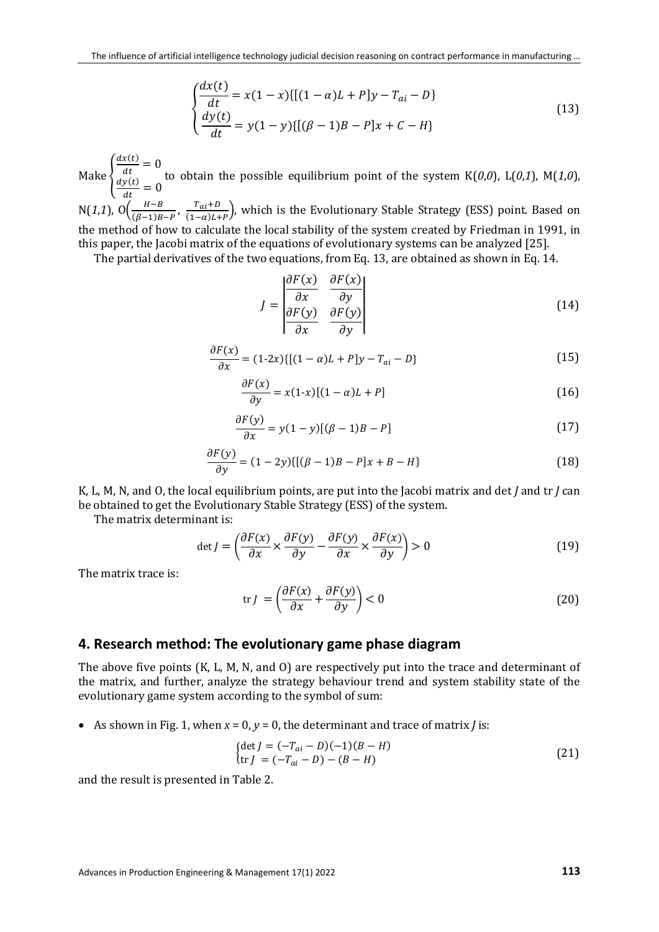$$
\begin{cases}\n\frac{dx(t)}{dt} = x(1-x)\{[(1-\alpha)L + P]y - T_{ai} - D\} \\
\frac{dy(t)}{dt} = y(1-y)\{[(\beta - 1)B - P]x + C - H\}\n\end{cases}
$$
\n(13)

Make  $\{$  $\frac{dx(t)}{dt} = 0$  $\frac{dy(t)}{dt} = 0$ to obtain the possible equilibrium point of the system K(*0*,*0*), L(*0*,*1*), M(*1*,*0*),

N(1,1), O $\left(\frac{H-B}{(\beta-1)B-P}, \frac{T_{ai}+D}{(1-\alpha)L+P}\right)$ , which is the Evolutionary Stable Strategy (ESS) point. Based on the method of how to calculate the local stability of the system created by Friedman in 1991, in this paper, the Jacobi matrix of the equations of evolutionary systems can be analyzed [25].

The partial derivatives of the two equations, from Eq. 13, are obtained as shown in Eq. 14.

$$
J = \begin{vmatrix} \frac{\partial F(x)}{\partial x} & \frac{\partial F(x)}{\partial y} \\ \frac{\partial F(y)}{\partial x} & \frac{\partial F(y)}{\partial y} \end{vmatrix}
$$
 (14)

$$
\frac{\partial F(x)}{\partial x} = (1-2x)\{[(1-\alpha)L + P]y - T_{ai} - D\}
$$
\n(15)

$$
\frac{\partial F(x)}{\partial y} = x(1-x)[(1-\alpha)L + P] \tag{16}
$$

$$
\frac{\partial F(y)}{\partial x} = y(1-y)[(\beta - 1)B - P] \tag{17}
$$

$$
\frac{\partial F(y)}{\partial y} = (1 - 2y)\{[(\beta - 1)B - P]x + B - H\}
$$
\n(18)

K, L, M, N, and O, the local equilibrium points, are put into the Jacobi matrix and det *J* and tr *J* can be obtained to get the Evolutionary Stable Strategy (ESS) of the system.

The matrix determinant is:

$$
\det J = \left(\frac{\partial F(x)}{\partial x} \times \frac{\partial F(y)}{\partial y} - \frac{\partial F(y)}{\partial x} \times \frac{\partial F(x)}{\partial y}\right) > 0
$$
\n(19)

The matrix trace is:

$$
\operatorname{tr} J = \left(\frac{\partial F(x)}{\partial x} + \frac{\partial F(y)}{\partial y}\right) < 0 \tag{20}
$$

#### **4. Research method: The evolutionary game phase diagram**

The above five points (K, L, M, N, and O) are respectively put into the trace and determinant of the matrix, and further, analyze the strategy behaviour trend and system stability state of the evolutionary game system according to the symbol of sum:

• As shown in Fig. 1, when  $x = 0$ ,  $y = 0$ , the determinant and trace of matrix *J* is:

$$
\begin{aligned} \n\text{(det } J &= (-T_{ai} - D)(-1)(B - H) \\ \n\text{(tr } J &= (-T_{ai} - D) - (B - H) \n\end{aligned} \tag{21}
$$

and the result is presented in Table 2.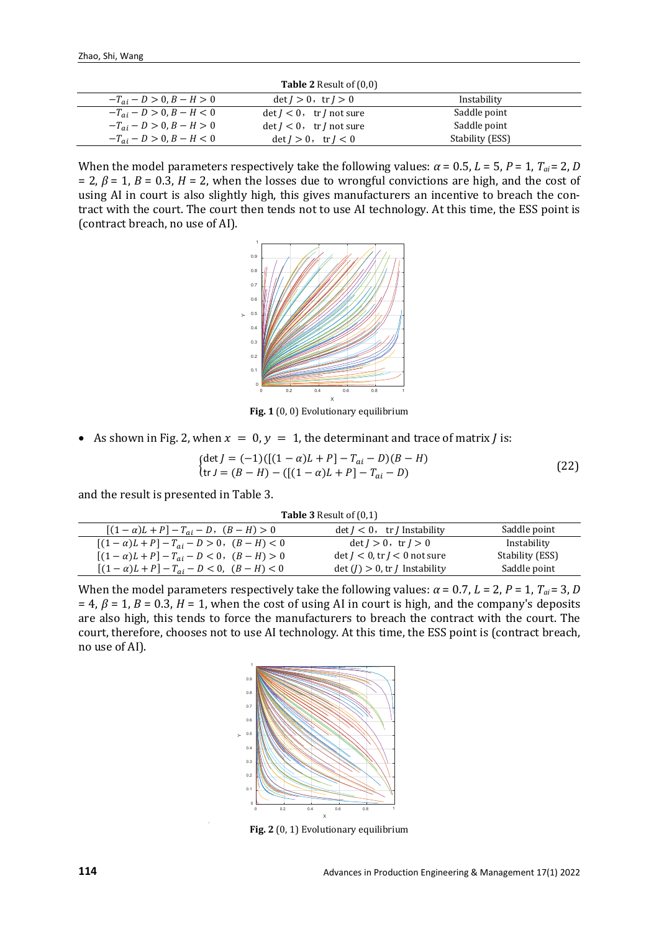| <b>Table 2</b> Result of $(0,0)$ |                                               |                 |  |  |
|----------------------------------|-----------------------------------------------|-----------------|--|--|
| $-T_{ai} - D > 0, B - H > 0$     | $det I > 0$ , $tr I > 0$                      | Instability     |  |  |
| $-T_{ai} - D > 0, B - H < 0$     | $\det I < 0$ , $\operatorname{tr} I$ not sure | Saddle point    |  |  |
| $-T_{ai} - D > 0, B - H > 0$     | $\det I < 0$ , $\operatorname{tr} I$ not sure | Saddle point    |  |  |
| $-T_{ai} - D > 0, B - H < 0$     | $det I > 0$ , $tr I < 0$                      | Stability (ESS) |  |  |

When the model parameters respectively take the following values:  $\alpha$  = 0.5,  $L$  = 5,  $P$  = 1,  $T_{ai}$  = 2, *D* = 2, *β* = 1, *B* = 0.3, *H* = 2, when the losses due to wrongful convictions are high, and the cost of using AI in court is also slightly high, this gives manufacturers an incentive to breach the contract with the court. The court then tends not to use AI technology. At this time, the ESS point is (contract breach, no use of AI).



**Fig. 1** (0, 0) Evolutionary equilibrium

• As shown in Fig. 2, when  $x = 0$ ,  $y = 1$ , the determinant and trace of matrix *J* is:

$$
\begin{aligned} \n\{\det J = (-1) \left[ \left[ (1 - \alpha)L + P \right] - T_{ai} - D \right) (B - H) \\
\operatorname{tr} J = (B - H) - \left( \left[ (1 - \alpha)L + P \right] - T_{ai} - D \right) \n\end{aligned} \tag{22}
$$

and the result is presented in Table 3.

|  | <b>Table 3</b> Result of $(0,1)$ |
|--|----------------------------------|
|--|----------------------------------|

| $[(1-\alpha)L+P]-T_{ai}-D, (B-H)>0]$  | $\det I < 0$ , tr <i>I</i> Instability  | Saddle point    |
|---------------------------------------|-----------------------------------------|-----------------|
| $[(1-\alpha)L+P]-T_{ai}-D>0, (B-H)<0$ | $det I > 0$ , $tr I > 0$                | Instability     |
| $[(1-\alpha)L+P]-T_{ai}-D<0, (B-H)>0$ | $\det I < 0$ , tr $I < 0$ not sure      | Stability (ESS) |
| $[(1-\alpha)L+P]-T_{ai}-D<0, (B-H)<0$ | $\det(J) > 0$ , tr <i>J</i> Instability | Saddle point    |

When the model parameters respectively take the following values:  $\alpha$  = 0.7,  $L$  = 2,  $P$  = 1,  $T_{ai}$  = 3, *D*  $= 4$ ,  $\beta = 1$ ,  $B = 0.3$ ,  $H = 1$ , when the cost of using AI in court is high, and the company's deposits are also high, this tends to force the manufacturers to breach the contract with the court. The court, therefore, chooses not to use AI technology. At this time, the ESS point is (contract breach, no use of AI).



**Fig. 2** (0, 1) Evolutionary equilibrium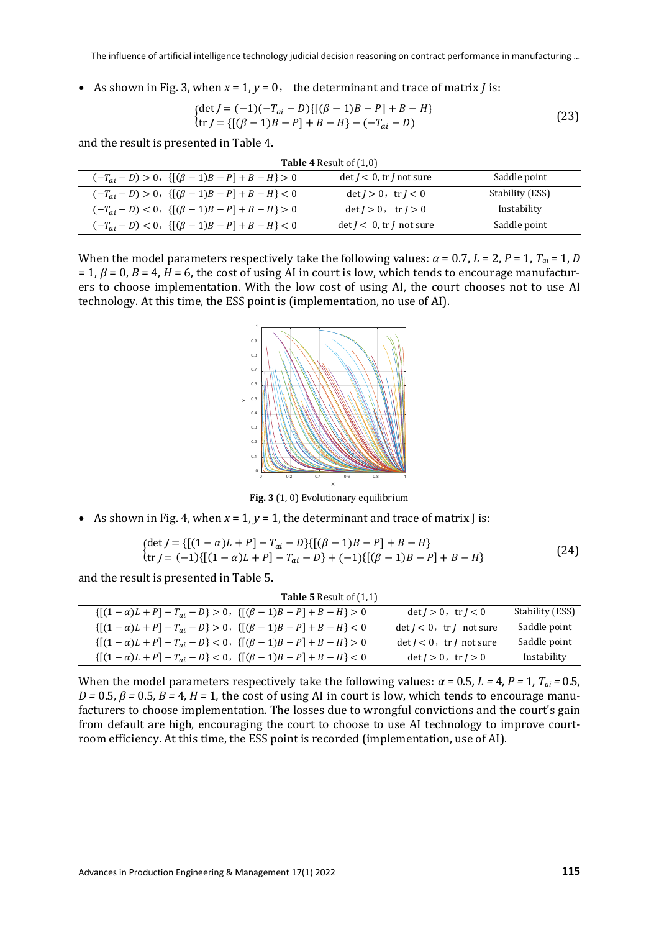• As shown in Fig. 3, when  $x = 1$ ,  $y = 0$ , the determinant and trace of matrix *J* is:

$$
\begin{cases}\n\det J = (-1)(-T_{ai} - D)\{[(\beta - 1)B - P] + B - H\} \\
\operatorname{tr} J = \{[(\beta - 1)B - P] + B - H\} - (-T_{ai} - D)\n\end{cases}
$$
\n(23)

and the result is presented in Table 4.

| <b>Table 4 Result of (1,0)</b>                          |                                     |                 |  |  |
|---------------------------------------------------------|-------------------------------------|-----------------|--|--|
| $(-T_{ai} - D) > 0, \{[(\beta - 1)B - P] + B - H\} > 0$ | $\det J < 0$ , tr <i>J</i> not sure | Saddle point    |  |  |
| $(-T_{ai} - D) > 0, \{[(\beta - 1)B - P] + B - H\} < 0$ | $det I > 0$ , $tr I < 0$            | Stability (ESS) |  |  |
| $(-T_{ai} - D) < 0, \{[(\beta - 1)B - P] + B - H\} > 0$ | $det I > 0$ , $tr I > 0$            | Instability     |  |  |
| $(-T_{ai} - D) < 0, \{[(\beta - 1)B - P] + B - H\} < 0$ | $\det J < 0$ , tr <i>J</i> not sure | Saddle point    |  |  |

When the model parameters respectively take the following values:  $\alpha$  = 0.7,  $L$  = 2,  $P$  = 1,  $T_{ai}$  = 1,  $D$  $= 1, \beta = 0, B = 4, H = 6$ , the cost of using AI in court is low, which tends to encourage manufacturers to choose implementation. With the low cost of using AI, the court chooses not to use AI technology. At this time, the ESS point is (implementation, no use of AI).



**Fig. 3** (1, 0) Evolutionary equilibrium

• As shown in Fig. 4, when  $x = 1$ ,  $y = 1$ , the determinant and trace of matrix  $\int$  is:

$$
\begin{aligned} \n\{\det J &= \{ [(1 - \alpha)L + P] - T_{ai} - D \} \{ [( \beta - 1)B - P ] + B - H \} \\
\text{tr } J &= (-1) \{ [(1 - \alpha)L + P] - T_{ai} - D \} + (-1) \{ [( \beta - 1)B - P ] + B - H \} \n\end{aligned} \tag{24}
$$

and the result is presented in Table 5.

| <b>Table 5</b> Result of $(1,1)$                           |                                          |                 |
|------------------------------------------------------------|------------------------------------------|-----------------|
| $\{[(1-\alpha)L+P]-T_{ai}-D\}>0, \{[(\beta-1)B-P]+B-H\}>0$ | $\det J > 0$ , $\operatorname{tr} J < 0$ | Stability (ESS) |
| $\{[(1-\alpha)L+P]-T_{ai}-D\}>0, \{[(\beta-1)B-P]+B-H\}<0$ | $\det J < 0$ , tr <i>J</i> not sure      | Saddle point    |
| $\{[(1-\alpha)L+P]-T_{ai}-D\}<0, \{[(\beta-1)B-P]+B-H\}>0$ | $\det J < 0$ , tr <i>J</i> not sure      | Saddle point    |
| $\{[(1-\alpha)L+P]-T_{ai}-D\}<0, \{[(\beta-1)B-P]+B-H\}<0$ | $det I > 0$ , $tr I > 0$                 | Instability     |

When the model parameters respectively take the following values:  $\alpha = 0.5$ ,  $L = 4$ ,  $P = 1$ ,  $T_{ai} = 0.5$ ,  $D = 0.5$ ,  $\beta = 0.5$ ,  $B = 4$ ,  $H = 1$ , the cost of using AI in court is low, which tends to encourage manufacturers to choose implementation. The losses due to wrongful convictions and the court's gain from default are high, encouraging the court to choose to use AI technology to improve courtroom efficiency. At this time, the ESS point is recorded (implementation, use of AI).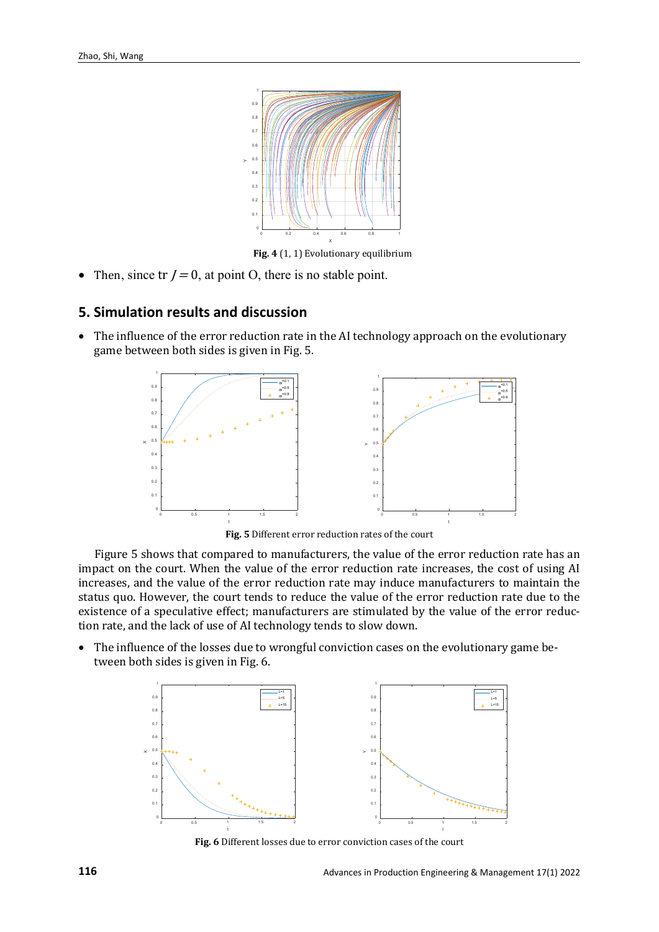

**Fig. 4** (1, 1) Evolutionary equilibrium

• Then, since  $tr J = 0$ , at point O, there is no stable point.

#### **5. Simulation results and discussion**

The influence of the error reduction rate in the AI technology approach on the evolutionary game between both sides is given in Fig. 5.



**Fig. 5** Different error reduction rates of the court

Figure 5 shows that compared to manufacturers, the value of the error reduction rate has an impact on the court. When the value of the error reduction rate increases, the cost of using AI increases, and the value of the error reduction rate may induce manufacturers to maintain the status quo. However, the court tends to reduce the value of the error reduction rate due to the existence of a speculative effect; manufacturers are stimulated by the value of the error reduction rate, and the lack of use of AI technology tends to slow down.

• The influence of the losses due to wrongful conviction cases on the evolutionary game between both sides is given in Fig. 6.



**Fig. 6** Different losses due to error conviction cases of the court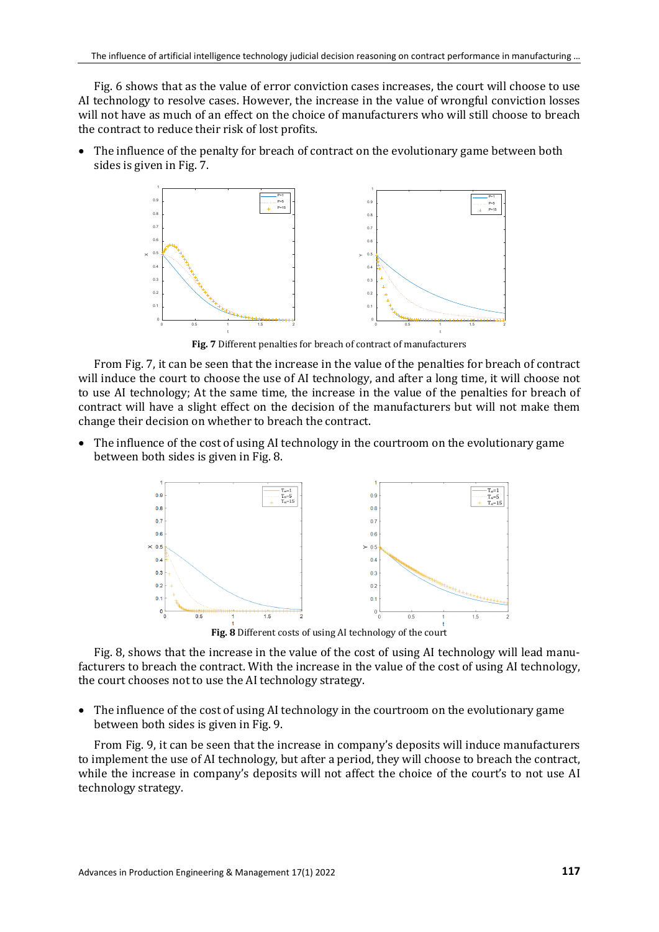Fig. 6 shows that as the value of error conviction cases increases, the court will choose to use AI technology to resolve cases. However, the increase in the value of wrongful conviction losses will not have as much of an effect on the choice of manufacturers who will still choose to breach the contract to reduce their risk of lost profits.

• The influence of the penalty for breach of contract on the evolutionary game between both sides is given in Fig. 7.



**Fig. 7** Different penalties for breach of contract of manufacturers

From Fig. 7, it can be seen that the increase in the value of the penalties for breach of contract will induce the court to choose the use of AI technology, and after a long time, it will choose not to use AI technology; At the same time, the increase in the value of the penalties for breach of contract will have a slight effect on the decision of the manufacturers but will not make them change their decision on whether to breach the contract.

• The influence of the cost of using AI technology in the courtroom on the evolutionary game between both sides is given in Fig. 8.



Fig. 8, shows that the increase in the value of the cost of using AI technology will lead manufacturers to breach the contract. With the increase in the value of the cost of using AI technology, the court chooses not to use the AI technology strategy.

• The influence of the cost of using AI technology in the courtroom on the evolutionary game between both sides is given in Fig. 9.

From Fig. 9, it can be seen that the increase in company's deposits will induce manufacturers to implement the use of AI technology, but after a period, they will choose to breach the contract, while the increase in company's deposits will not affect the choice of the court's to not use AI technology strategy.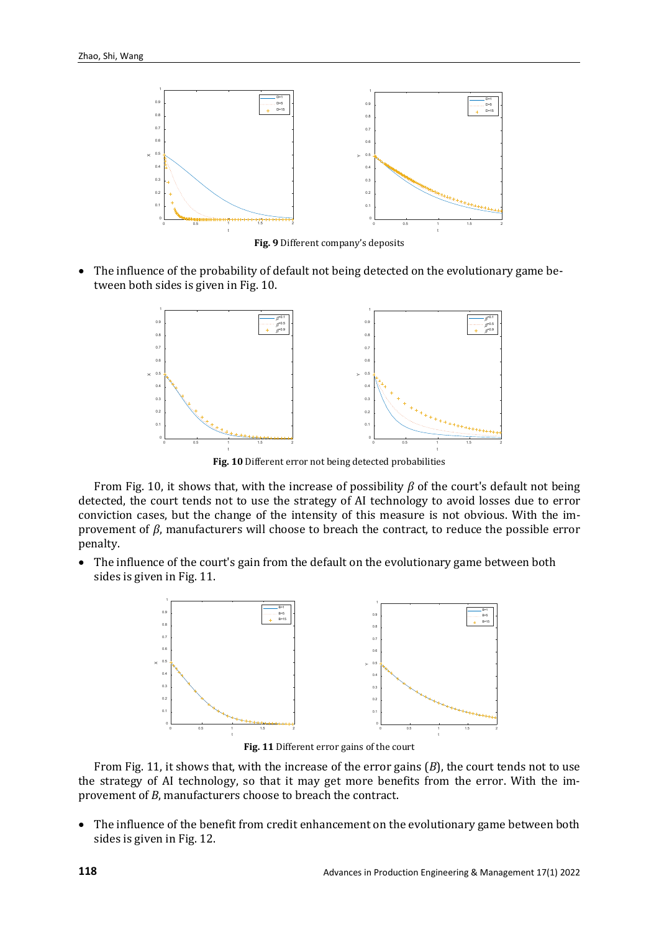

**Fig. 9** Different company's deposits

• The influence of the probability of default not being detected on the evolutionary game between both sides is given in Fig. 10.



**Fig. 10** Different error not being detected probabilities

From Fig. 10, it shows that, with the increase of possibility *β* of the court's default not being detected, the court tends not to use the strategy of AI technology to avoid losses due to error conviction cases, but the change of the intensity of this measure is not obvious. With the improvement of *β*, manufacturers will choose to breach the contract, to reduce the possible error penalty.

• The influence of the court's gain from the default on the evolutionary game between both sides is given in Fig. 11.



**Fig. 11** Different error gains of the court

From Fig. 11, it shows that, with the increase of the error gains (*B*), the court tends not to use the strategy of AI technology, so that it may get more benefits from the error. With the improvement of *B*, manufacturers choose to breach the contract.

• The influence of the benefit from credit enhancement on the evolutionary game between both sides is given in Fig. 12.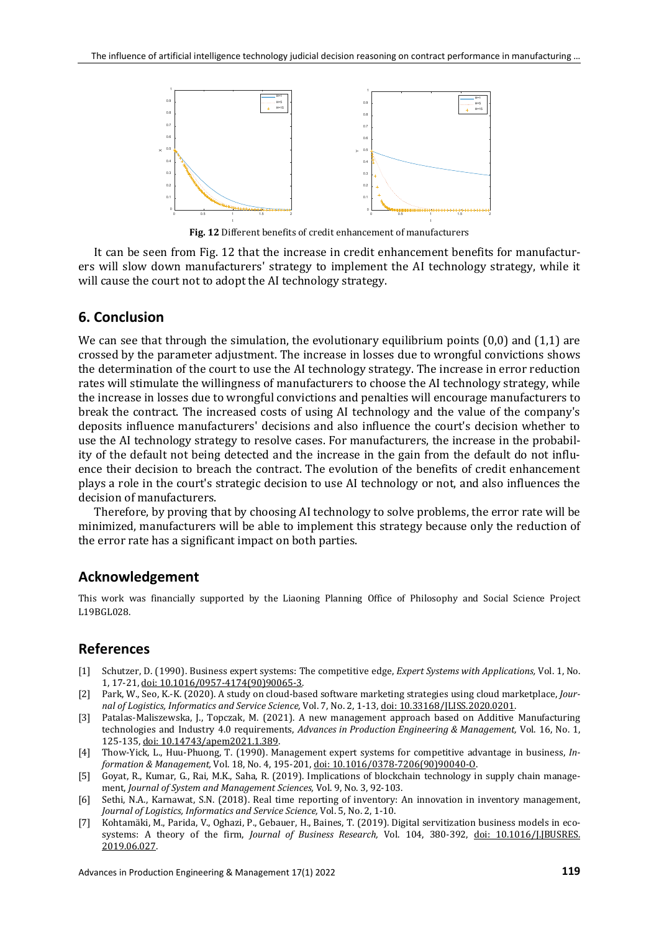

**Fig. 12** Different benefits of credit enhancement of manufacturers

It can be seen from Fig. 12 that the increase in credit enhancement benefits for manufacturers will slow down manufacturers' strategy to implement the AI technology strategy, while it will cause the court not to adopt the AI technology strategy.

#### **6. Conclusion**

We can see that through the simulation, the evolutionary equilibrium points  $(0,0)$  and  $(1,1)$  are crossed by the parameter adjustment. The increase in losses due to wrongful convictions shows the determination of the court to use the AI technology strategy. The increase in error reduction rates will stimulate the willingness of manufacturers to choose the AI technology strategy, while the increase in losses due to wrongful convictions and penalties will encourage manufacturers to break the contract. The increased costs of using AI technology and the value of the company's deposits influence manufacturers' decisions and also influence the court's decision whether to use the AI technology strategy to resolve cases. For manufacturers, the increase in the probability of the default not being detected and the increase in the gain from the default do not influence their decision to breach the contract. The evolution of the benefits of credit enhancement plays a role in the court's strategic decision to use AI technology or not, and also influences the decision of manufacturers.

Therefore, by proving that by choosing AI technology to solve problems, the error rate will be minimized, manufacturers will be able to implement this strategy because only the reduction of the error rate has a significant impact on both parties.

#### **Acknowledgement**

This work was financially supported by the Liaoning Planning Office of Philosophy and Social Science Project L19BGL028.

### **References**

- [1] Schutzer, D. (1990). Business expert systems: The competitive edge, *Expert Systems with Applications,* Vol. 1, No. 1, 17-21, [doi: 10.1016/0957-4174\(90\)90065-3.](https://doi.org/10.1016/0957-4174(90)90065-3)
- [2] Park, W., Seo, K.-K. (2020). A study on cloud-based software marketing strategies using cloud marketplace, *Journal of Logistics, Informatics and Service Science,* Vol. 7, No. 2, 1-13[, doi: 10.33168/JLISS.2020.0201.](https://doi.org/10.33168/JLISS.2020.0201)
- [3] Patalas-Maliszewska, J., Topczak, M. (2021). A new management approach based on Additive Manufacturing technologies and Industry 4.0 requirements, *Advances in Production Engineering & Management,* Vol. 16, No. 1, 125-135[, doi: 10.14743/apem2021.1.389.](https://doi.org/10.14743/apem2021.1.389)
- [4] Thow-Yick, L., Huu-Phuong, T. (1990). Management expert systems for competitive advantage in business, *Information & Management,* Vol. 18, No. 4, 195-201[, doi: 10.1016/0378-7206\(90\)90040-O.](https://doi.org/10.1016/0378-7206(90)90040-O)
- [5] Goyat, R., Kumar, G., Rai, M.K., Saha, R. (2019). Implications of blockchain technology in supply chain management, *Journal of System and Management Sciences,* Vol. 9, No. 3, 92-103.
- [6] Sethi, N.A., Karnawat, S.N. (2018). Real time reporting of inventory: An innovation in inventory management, *Journal of Logistics, Informatics and Service Science,* Vol. 5, No. 2, 1-10.
- [7] Kohtamäki, M., Parida, V., Oghazi, P., Gebauer, H., Baines, T. (2019). Digital servitization business models in ecosystems: A theory of the firm, *Journal of Business Research,* Vol. 104, 380-392, [doi: 10.1016/J.JBUSRES.](https://doi.org/10.1016/J.JBUSRES.2019.06.027) [2019.06.027.](https://doi.org/10.1016/J.JBUSRES.2019.06.027)